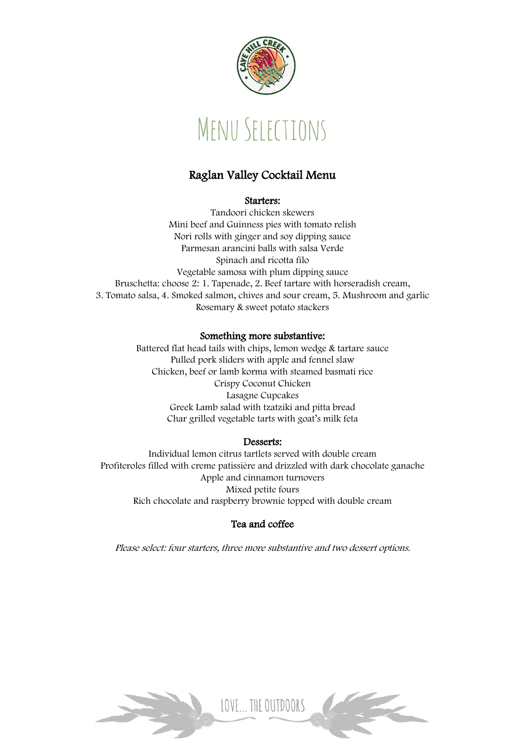

# Menu Selections

# Raglan Valley Cocktail Menu

#### Starters:

Tandoori chicken skewers Mini beef and Guinness pies with tomato relish Nori rolls with ginger and soy dipping sauce Parmesan arancini balls with salsa Verde Spinach and ricotta filo Vegetable samosa with plum dipping sauce Bruschetta: choose 2: 1. Tapenade, 2. Beef tartare with horseradish cream, 3. Tomato salsa, 4. Smoked salmon, chives and sour cream, 5. Mushroom and garlic Rosemary & sweet potato stackers

# Something more substantive:

Battered flat head tails with chips, lemon wedge & tartare sauce Pulled pork sliders with apple and fennel slaw Chicken, beef or lamb korma with steamed basmati rice Crispy Coconut Chicken Lasagne Cupcakes Greek Lamb salad with tzatziki and pitta bread Char grilled vegetable tarts with goat's milk feta

# Desserts:

Individual lemon citrus tartlets served with double cream Profiteroles filled with creme patissière and drizzled with dark chocolate ganache Apple and cinnamon turnovers Mixed petite fours Rich chocolate and raspberry brownie topped with double cream

# Tea and coffee

Please select: four starters, three more substantive and two dessert options.

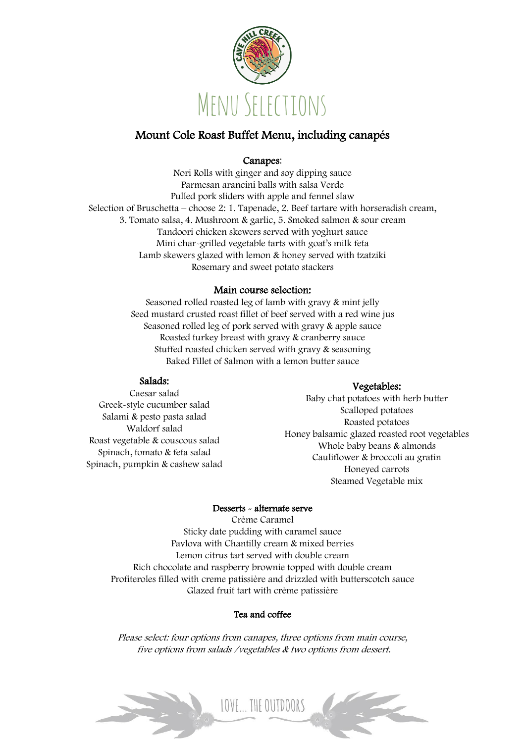

# Mount Cole Roast Buffet Menu, including canapés

# Canapes:

Nori Rolls with ginger and soy dipping sauce Parmesan arancini balls with salsa Verde Pulled pork sliders with apple and fennel slaw Selection of Bruschetta – choose 2: 1. Tapenade, 2. Beef tartare with horseradish cream, 3. Tomato salsa, 4. Mushroom & garlic, 5. Smoked salmon & sour cream Tandoori chicken skewers served with yoghurt sauce Mini char-grilled vegetable tarts with goat's milk feta Lamb skewers glazed with lemon & honey served with tzatziki Rosemary and sweet potato stackers

# Main course selection:

Seasoned rolled roasted leg of lamb with gravy & mint jelly Seed mustard crusted roast fillet of beef served with a red wine jus Seasoned rolled leg of pork served with gravy & apple sauce Roasted turkey breast with gravy & cranberry sauce Stuffed roasted chicken served with gravy & seasoning Baked Fillet of Salmon with a lemon butter sauce

# Salads:

#### Caesar salad Greek-style cucumber salad Salami & pesto pasta salad Waldorf salad Roast vegetable & couscous salad Spinach, tomato & feta salad Spinach, pumpkin & cashew salad

# Vegetables:

Baby chat potatoes with herb butter Scalloped potatoes Roasted potatoes Honey balsamic glazed roasted root vegetables Whole baby beans & almonds Cauliflower & broccoli au gratin Honeyed carrots Steamed Vegetable mix

# Desserts - alternate serve

Crème Caramel Sticky date pudding with caramel sauce Pavlova with Chantilly cream & mixed berries Lemon citrus tart served with double cream Rich chocolate and raspberry brownie topped with double cream Profiteroles filled with creme patissière and drizzled with butterscotch sauce Glazed fruit tart with crème patissière

# Tea and coffee

Please select: four options from canapes, three options from main course, five options from salads /vegetables & two options from dessert.